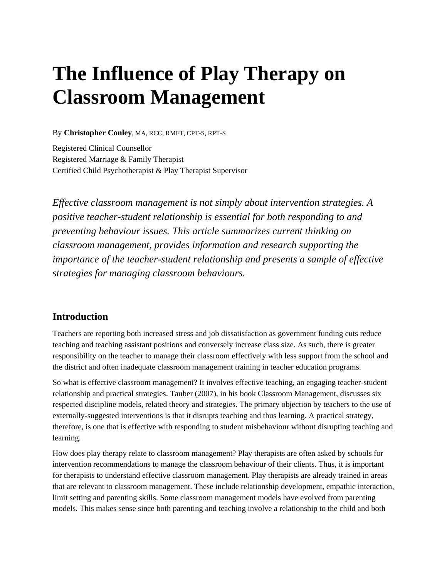# **The Influence of Play Therapy on Classroom Management**

By **Christopher Conley**, MA, RCC, RMFT, CPT-S, RPT-S

Registered Clinical Counsellor Registered Marriage & Family Therapist Certified Child Psychotherapist & Play Therapist Supervisor

*Effective classroom management is not simply about intervention strategies. A positive teacher-student relationship is essential for both responding to and preventing behaviour issues. This article summarizes current thinking on classroom management, provides information and research supporting the importance of the teacher-student relationship and presents a sample of effective strategies for managing classroom behaviours.* 

### **Introduction**

Teachers are reporting both increased stress and job dissatisfaction as government funding cuts reduce teaching and teaching assistant positions and conversely increase class size. As such, there is greater responsibility on the teacher to manage their classroom effectively with less support from the school and the district and often inadequate classroom management training in teacher education programs.

So what is effective classroom management? It involves effective teaching, an engaging teacher-student relationship and practical strategies. Tauber (2007), in his book Classroom Management, discusses six respected discipline models, related theory and strategies. The primary objection by teachers to the use of externally-suggested interventions is that it disrupts teaching and thus learning. A practical strategy, therefore, is one that is effective with responding to student misbehaviour without disrupting teaching and learning.

How does play therapy relate to classroom management? Play therapists are often asked by schools for intervention recommendations to manage the classroom behaviour of their clients. Thus, it is important for therapists to understand effective classroom management. Play therapists are already trained in areas that are relevant to classroom management. These include relationship development, empathic interaction, limit setting and parenting skills. Some classroom management models have evolved from parenting models. This makes sense since both parenting and teaching involve a relationship to the child and both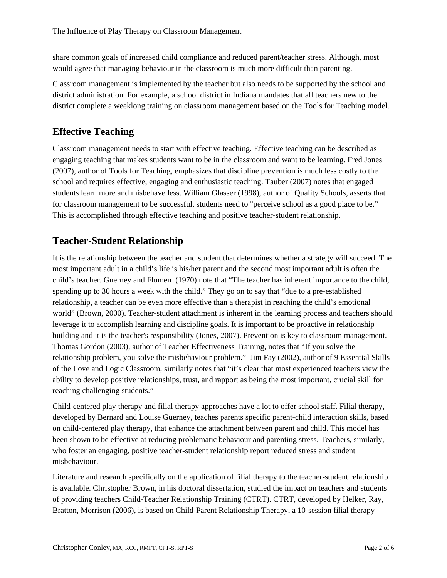share common goals of increased child compliance and reduced parent/teacher stress. Although, most would agree that managing behaviour in the classroom is much more difficult than parenting.

Classroom management is implemented by the teacher but also needs to be supported by the school and district administration. For example, a school district in Indiana mandates that all teachers new to the district complete a weeklong training on classroom management based on the Tools for Teaching model.

## **Effective Teaching**

Classroom management needs to start with effective teaching. Effective teaching can be described as engaging teaching that makes students want to be in the classroom and want to be learning. Fred Jones (2007), author of Tools for Teaching, emphasizes that discipline prevention is much less costly to the school and requires effective, engaging and enthusiastic teaching. Tauber (2007) notes that engaged students learn more and misbehave less. William Glasser (1998), author of Quality Schools, asserts that for classroom management to be successful, students need to "perceive school as a good place to be." This is accomplished through effective teaching and positive teacher-student relationship.

## **Teacher-Student Relationship**

It is the relationship between the teacher and student that determines whether a strategy will succeed. The most important adult in a child's life is his/her parent and the second most important adult is often the child's teacher. Guerney and Flumen (1970) note that "The teacher has inherent importance to the child, spending up to 30 hours a week with the child." They go on to say that "due to a pre-established relationship, a teacher can be even more effective than a therapist in reaching the child's emotional world" (Brown, 2000). Teacher-student attachment is inherent in the learning process and teachers should leverage it to accomplish learning and discipline goals. It is important to be proactive in relationship building and it is the teacher's responsibility (Jones, 2007). Prevention is key to classroom management. Thomas Gordon (2003), author of Teacher Effectiveness Training, notes that "If you solve the relationship problem, you solve the misbehaviour problem." Jim Fay (2002), author of 9 Essential Skills of the Love and Logic Classroom, similarly notes that "it's clear that most experienced teachers view the ability to develop positive relationships, trust, and rapport as being the most important, crucial skill for reaching challenging students."

Child-centered play therapy and filial therapy approaches have a lot to offer school staff. Filial therapy, developed by Bernard and Louise Guerney, teaches parents specific parent-child interaction skills, based on child-centered play therapy, that enhance the attachment between parent and child. This model has been shown to be effective at reducing problematic behaviour and parenting stress. Teachers, similarly, who foster an engaging, positive teacher-student relationship report reduced stress and student misbehaviour.

Literature and research specifically on the application of filial therapy to the teacher-student relationship is available. Christopher Brown, in his doctoral dissertation, studied the impact on teachers and students of providing teachers Child-Teacher Relationship Training (CTRT). CTRT, developed by Helker, Ray, Bratton, Morrison (2006), is based on Child-Parent Relationship Therapy, a 10-session filial therapy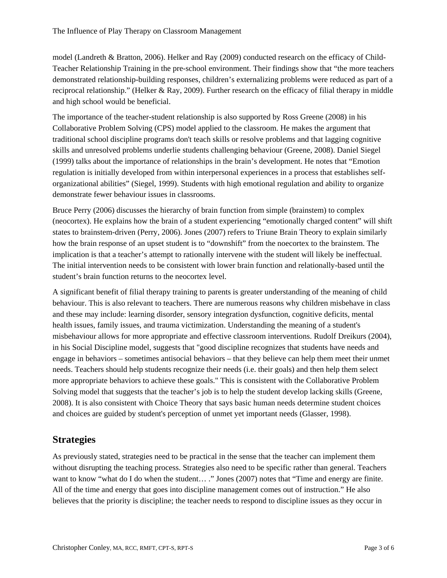model (Landreth & Bratton, 2006). Helker and Ray (2009) conducted research on the efficacy of Child-Teacher Relationship Training in the pre-school environment. Their findings show that "the more teachers demonstrated relationship-building responses, children's externalizing problems were reduced as part of a reciprocal relationship." (Helker & Ray, 2009). Further research on the efficacy of filial therapy in middle and high school would be beneficial.

The importance of the teacher-student relationship is also supported by Ross Greene (2008) in his Collaborative Problem Solving (CPS) model applied to the classroom. He makes the argument that traditional school discipline programs don't teach skills or resolve problems and that lagging cognitive skills and unresolved problems underlie students challenging behaviour (Greene, 2008). Daniel Siegel (1999) talks about the importance of relationships in the brain's development. He notes that "Emotion regulation is initially developed from within interpersonal experiences in a process that establishes selforganizational abilities" (Siegel, 1999). Students with high emotional regulation and ability to organize demonstrate fewer behaviour issues in classrooms.

Bruce Perry (2006) discusses the hierarchy of brain function from simple (brainstem) to complex (neocortex). He explains how the brain of a student experiencing "emotionally charged content" will shift states to brainstem-driven (Perry, 2006). Jones (2007) refers to Triune Brain Theory to explain similarly how the brain response of an upset student is to "downshift" from the noecortex to the brainstem. The implication is that a teacher's attempt to rationally intervene with the student will likely be ineffectual. The initial intervention needs to be consistent with lower brain function and relationally-based until the student's brain function returns to the neocortex level.

A significant benefit of filial therapy training to parents is greater understanding of the meaning of child behaviour. This is also relevant to teachers. There are numerous reasons why children misbehave in class and these may include: learning disorder, sensory integration dysfunction, cognitive deficits, mental health issues, family issues, and trauma victimization. Understanding the meaning of a student's misbehaviour allows for more appropriate and effective classroom interventions. Rudolf Dreikurs (2004), in his Social Discipline model, suggests that "good discipline recognizes that students have needs and engage in behaviors – sometimes antisocial behaviors – that they believe can help them meet their unmet needs. Teachers should help students recognize their needs (i.e. their goals) and then help them select more appropriate behaviors to achieve these goals." This is consistent with the Collaborative Problem Solving model that suggests that the teacher's job is to help the student develop lacking skills (Greene, 2008). It is also consistent with Choice Theory that says basic human needs determine student choices and choices are guided by student's perception of unmet yet important needs (Glasser, 1998).

## **Strategies**

As previously stated, strategies need to be practical in the sense that the teacher can implement them without disrupting the teaching process. Strategies also need to be specific rather than general. Teachers want to know "what do I do when the student... ." Jones (2007) notes that "Time and energy are finite. All of the time and energy that goes into discipline management comes out of instruction." He also believes that the priority is discipline; the teacher needs to respond to discipline issues as they occur in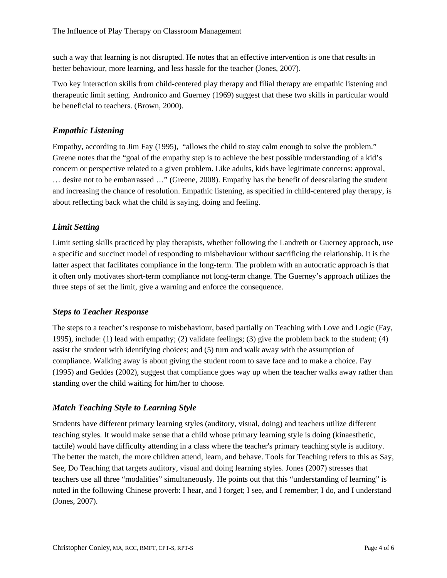such a way that learning is not disrupted. He notes that an effective intervention is one that results in better behaviour, more learning, and less hassle for the teacher (Jones, 2007).

Two key interaction skills from child-centered play therapy and filial therapy are empathic listening and therapeutic limit setting. Andronico and Guerney (1969) suggest that these two skills in particular would be beneficial to teachers. (Brown, 2000).

#### *Empathic Listening*

Empathy, according to Jim Fay (1995), "allows the child to stay calm enough to solve the problem." Greene notes that the "goal of the empathy step is to achieve the best possible understanding of a kid's concern or perspective related to a given problem. Like adults, kids have legitimate concerns: approval, … desire not to be embarrassed …" (Greene, 2008). Empathy has the benefit of deescalating the student and increasing the chance of resolution. Empathic listening, as specified in child-centered play therapy, is about reflecting back what the child is saying, doing and feeling.

#### *Limit Setting*

Limit setting skills practiced by play therapists, whether following the Landreth or Guerney approach, use a specific and succinct model of responding to misbehaviour without sacrificing the relationship. It is the latter aspect that facilitates compliance in the long-term. The problem with an autocratic approach is that it often only motivates short-term compliance not long-term change. The Guerney's approach utilizes the three steps of set the limit, give a warning and enforce the consequence.

#### *Steps to Teacher Response*

The steps to a teacher's response to misbehaviour, based partially on Teaching with Love and Logic (Fay, 1995), include: (1) lead with empathy; (2) validate feelings; (3) give the problem back to the student; (4) assist the student with identifying choices; and (5) turn and walk away with the assumption of compliance. Walking away is about giving the student room to save face and to make a choice. Fay (1995) and Geddes (2002), suggest that compliance goes way up when the teacher walks away rather than standing over the child waiting for him/her to choose.

#### *Match Teaching Style to Learning Style*

Students have different primary learning styles (auditory, visual, doing) and teachers utilize different teaching styles. It would make sense that a child whose primary learning style is doing (kinaesthetic, tactile) would have difficulty attending in a class where the teacher's primary teaching style is auditory. The better the match, the more children attend, learn, and behave. Tools for Teaching refers to this as Say, See, Do Teaching that targets auditory, visual and doing learning styles. Jones (2007) stresses that teachers use all three "modalities" simultaneously. He points out that this "understanding of learning" is noted in the following Chinese proverb: I hear, and I forget; I see, and I remember; I do, and I understand (Jones, 2007).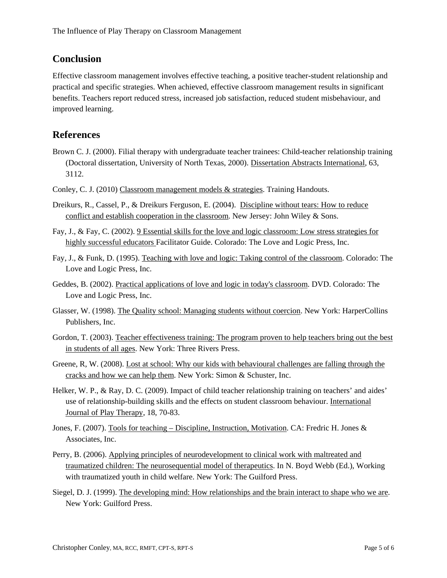## **Conclusion**

Effective classroom management involves effective teaching, a positive teacher-student relationship and practical and specific strategies. When achieved, effective classroom management results in significant benefits. Teachers report reduced stress, increased job satisfaction, reduced student misbehaviour, and improved learning.

### **References**

- Brown C. J. (2000). Filial therapy with undergraduate teacher trainees: Child-teacher relationship training (Doctoral dissertation, University of North Texas, 2000). Dissertation Abstracts International, 63, 3112.
- Conley, C. J. (2010) Classroom management models & strategies. Training Handouts.
- Dreikurs, R., Cassel, P., & Dreikurs Ferguson, E. (2004). Discipline without tears: How to reduce conflict and establish cooperation in the classroom. New Jersey: John Wiley & Sons.
- Fay, J., & Fay, C. (2002). 9 Essential skills for the love and logic classroom: Low stress strategies for highly successful educators Facilitator Guide. Colorado: The Love and Logic Press, Inc.
- Fay, J., & Funk, D. (1995). Teaching with love and logic: Taking control of the classroom. Colorado: The Love and Logic Press, Inc.
- Geddes, B. (2002). Practical applications of love and logic in today's classroom. DVD. Colorado: The Love and Logic Press, Inc.
- Glasser, W. (1998). The Quality school: Managing students without coercion. New York: HarperCollins Publishers, Inc.
- Gordon, T. (2003). Teacher effectiveness training: The program proven to help teachers bring out the best in students of all ages. New York: Three Rivers Press.
- Greene, R, W. (2008). Lost at school: Why our kids with behavioural challenges are falling through the cracks and how we can help them. New York: Simon & Schuster, Inc.
- Helker, W. P., & Ray, D. C. (2009). Impact of child teacher relationship training on teachers' and aides' use of relationship-building skills and the effects on student classroom behaviour. International Journal of Play Therapy, 18, 70-83.
- Jones, F. (2007). Tools for teaching Discipline, Instruction, Motivation. CA: Fredric H. Jones & Associates, Inc.
- Perry, B. (2006). Applying principles of neurodevelopment to clinical work with maltreated and traumatized children: The neurosequential model of therapeutics. In N. Boyd Webb (Ed.), Working with traumatized youth in child welfare. New York: The Guilford Press.
- Siegel, D. J. (1999). The developing mind: How relationships and the brain interact to shape who we are. New York: Guilford Press.